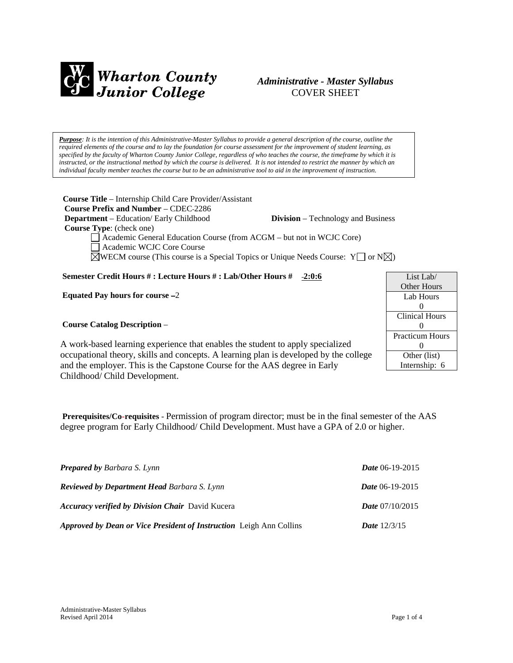

# *Administrative - Master Syllabus*  COVER SHEET

*Purpose: It is the intention of this Administrative-Master Syllabus to provide a general description of the course, outline the required elements of the course and to lay the foundation for course assessment for the improvement of student learning, as specified by the faculty of Wharton County Junior College, regardless of who teaches the course, the timeframe by which it is instructed, or the instructional method by which the course is delivered. It is not intended to restrict the manner by which an individual faculty member teaches the course but to be an administrative tool to aid in the improvement of instruction.*

**Course Title** – Internship Child Care Provider/Assistant  **Course Prefix and Number** – CDEC 2286 **Department** – Education/ Early Childhood **Division** – Technology and Business  **Course Type**: (check one) Academic General Education Course (from ACGM – but not in WCJC Core)

Academic WCJC Core Course

 $\boxtimes$ WECM course (This course is a Special Topics or Unique Needs Course: Y  $\Box$  or N $\boxtimes$ )

## **Semester Credit Hours # : Lecture Hours # : Lab/Other Hours # 2:0:6**

**Equated Pay hours for course** –2

#### **Course Catalog Description** –

List Lab/ Other Hours Lab Hours  $\Omega$ Clinical Hours  $\Omega$ Practicum Hours  $\Omega$ Other (list) Internship: 6

A work-based learning experience that enables the student to apply specialized occupational theory, skills and concepts. A learning plan is developed by the college and the employer. This is the Capstone Course for the AAS degree in Early Childhood/ Child Development.

**Prerequisites/Co-requisites** - Permission of program director; must be in the final semester of the AAS degree program for Early Childhood/ Child Development. Must have a GPA of 2.0 or higher.

| <b>Prepared by Barbara S. Lynn</b>                                  | Date 06-19-2015          |
|---------------------------------------------------------------------|--------------------------|
| <b>Reviewed by Department Head Barbara S. Lynn</b>                  | <i>Date</i> $06-19-2015$ |
| <b>Accuracy verified by Division Chair</b> David Kucera             | <i>Date</i> $07/10/2015$ |
| Approved by Dean or Vice President of Instruction Leigh Ann Collins | <b>Date</b> $12/3/15$    |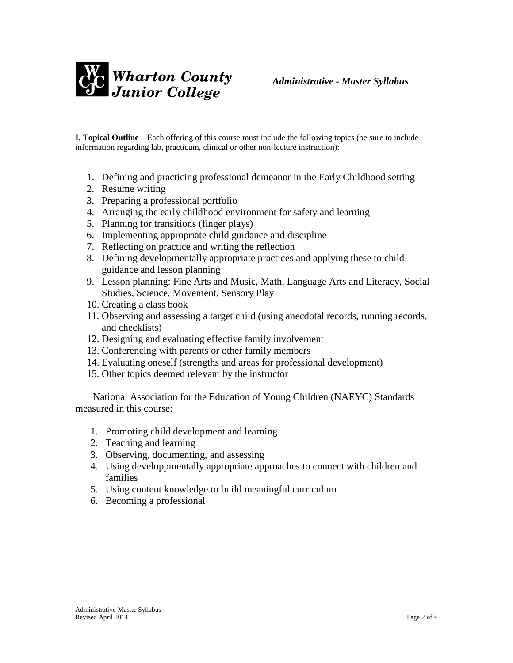

**I. Topical Outline** – Each offering of this course must include the following topics (be sure to include information regarding lab, practicum, clinical or other non-lecture instruction):

- 1. Defining and practicing professional demeanor in the Early Childhood setting
- 2. Resume writing
- 3. Preparing a professional portfolio
- 4. Arranging the early childhood environment for safety and learning
- 5. Planning for transitions (finger plays)
- 6. Implementing appropriate child guidance and discipline
- 7. Reflecting on practice and writing the reflection
- 8. Defining developmentally appropriate practices and applying these to child guidance and lesson planning
- 9. Lesson planning: Fine Arts and Music, Math, Language Arts and Literacy, Social Studies, Science, Movement, Sensory Play
- 10. Creating a class book
- 11. Observing and assessing a target child (using anecdotal records, running records, and checklists)
- 12. Designing and evaluating effective family involvement
- 13. Conferencing with parents or other family members
- 14. Evaluating oneself (strengths and areas for professional development)
- 15. Other topics deemed relevant by the instructor

 National Association for the Education of Young Children (NAEYC) Standards measured in this course:

- 1. Promoting child development and learning
- 2. Teaching and learning
- 3. Observing, documenting, and assessing
- 4. Using developpmentally appropriate approaches to connect with children and families
- 5. Using content knowledge to build meaningful curriculum
- 6. Becoming a professional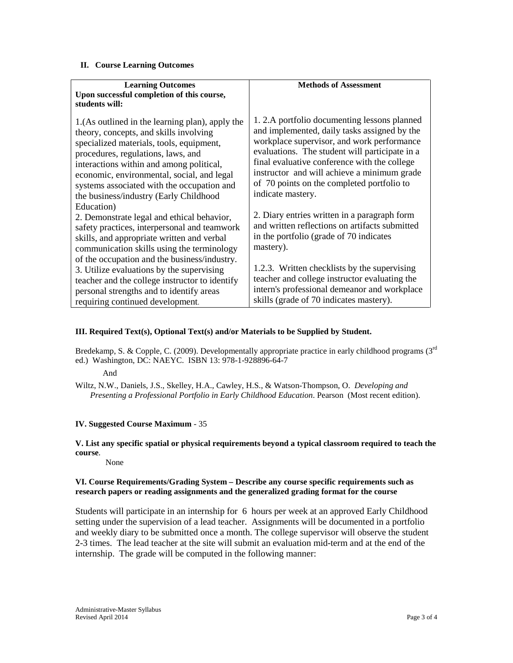#### **II. Course Learning Outcomes**

| <b>Learning Outcomes</b>                                                                                                                                                                                                                                                                                                                                       | <b>Methods of Assessment</b>                                                                                                                                                                                                                                                                                                                                  |
|----------------------------------------------------------------------------------------------------------------------------------------------------------------------------------------------------------------------------------------------------------------------------------------------------------------------------------------------------------------|---------------------------------------------------------------------------------------------------------------------------------------------------------------------------------------------------------------------------------------------------------------------------------------------------------------------------------------------------------------|
| Upon successful completion of this course,<br>students will:                                                                                                                                                                                                                                                                                                   |                                                                                                                                                                                                                                                                                                                                                               |
| 1. (As outlined in the learning plan), apply the<br>theory, concepts, and skills involving<br>specialized materials, tools, equipment,<br>procedures, regulations, laws, and<br>interactions within and among political,<br>economic, environmental, social, and legal<br>systems associated with the occupation and<br>the business/industry (Early Childhood | 1.2.A portfolio documenting lessons planned<br>and implemented, daily tasks assigned by the<br>workplace supervisor, and work performance<br>evaluations. The student will participate in a<br>final evaluative conference with the college<br>instructor and will achieve a minimum grade<br>of 70 points on the completed portfolio to<br>indicate mastery. |
| Education)<br>2. Demonstrate legal and ethical behavior,<br>safety practices, interpersonal and teamwork<br>skills, and appropriate written and verbal<br>communication skills using the terminology                                                                                                                                                           | 2. Diary entries written in a paragraph form<br>and written reflections on artifacts submitted<br>in the portfolio (grade of 70 indicates<br>mastery).                                                                                                                                                                                                        |
| of the occupation and the business/industry.<br>3. Utilize evaluations by the supervising<br>teacher and the college instructor to identify<br>personal strengths and to identify areas<br>requiring continued development.                                                                                                                                    | 1.2.3. Written checklists by the supervising<br>teacher and college instructor evaluating the<br>intern's professional demeanor and workplace<br>skills (grade of 70 indicates mastery).                                                                                                                                                                      |

## **III. Required Text(s), Optional Text(s) and/or Materials to be Supplied by Student.**

Bredekamp, S. & Copple, C. (2009). Developmentally appropriate practice in early childhood programs (3rd ed.) Washington, DC: NAEYC. ISBN 13: 978-1-928896-64-7

And

Wiltz, N.W., Daniels, J.S., Skelley, H.A., Cawley, H.S., & Watson-Thompson, O. *Developing and Presenting a Professional Portfolio in Early Childhood Education*. Pearson (Most recent edition).

## **IV. Suggested Course Maximum** - 35

#### **V. List any specific spatial or physical requirements beyond a typical classroom required to teach the course**.

None

## **VI. Course Requirements/Grading System – Describe any course specific requirements such as research papers or reading assignments and the generalized grading format for the course**

Students will participate in an internship for 6 hours per week at an approved Early Childhood setting under the supervision of a lead teacher. Assignments will be documented in a portfolio and weekly diary to be submitted once a month. The college supervisor will observe the student 2-3 times. The lead teacher at the site will submit an evaluation mid-term and at the end of the internship. The grade will be computed in the following manner: